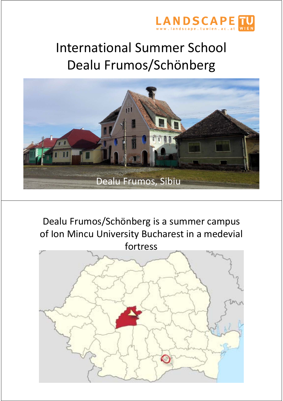

## International Summer School Dealu Frumos/Schönberg



Dealu Frumos/Schönberg is a summer campus of Ion Mincu University Bucharest in a medevial fortress

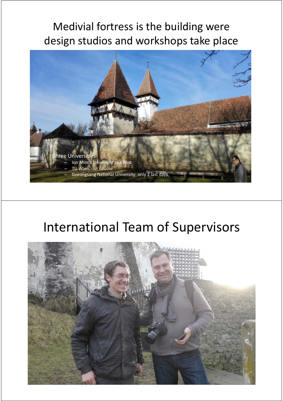#### Medivial fortress is the building were design studios and workshops take place



## International Team of Supervisors

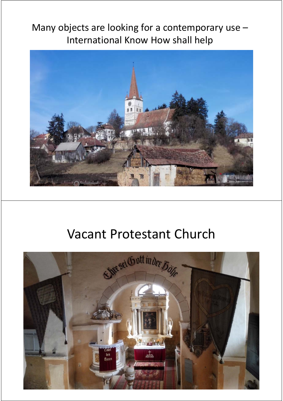#### Many objects are looking for a contemporary use – International Know How shall help



#### Vacant Protestant Church

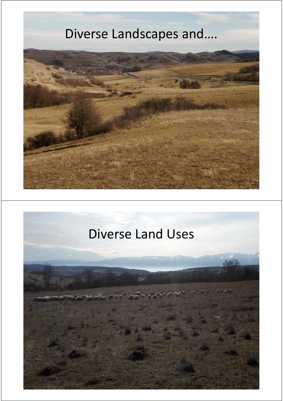# Diverse Landscapes and….



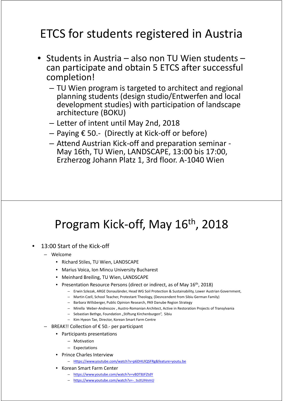## ETCS for students registered in Austria

- Students in Austria also non TU Wien students –<br>can participate and obtain 5 ETCS after successful completion!
	- TU Wien program is targeted to architect and regional planning students ( design studio/Entwerfen and local development studies) with participation of landscape architecture (BOKU)
	- Letter of intent until May 2nd, 2018
	- Paying € 50.‐ (Directly at Kick‐off or before)
	- Attend Austrian Kick‐off and preparation seminar ‐ May 16th, TU Wien, LANDSCAPE, 13:00 bis 17:00, Erzherzog Johann Platz 1, 3rd floor. A‐1040 Wien

## Program Kick-off, May 16<sup>th</sup>, 2018

- 13:00 Start of the Kick-off
	- Welcome
		- Richard Stiles, TU Wien, LANDSCAPE
		- Marius Voica, Ion Mincu University Bucharest
		- Meinhard Breiling, TU Wien, LANDSCAPE
		- Presentation Resource Persons (direct or indirect, as of May 16<sup>th</sup>, 2018)
			- Erwin Szlezak, ARGE Donauländer, Head WG Soil Protection & Sustainability, Lower Austrian Government,
			- Martin Czell, School Teacher, Protestant Theology, (Desncendent from Sibiu German Family)
			- Barbara Willsberger, Public Opinion Research, PA9 Danube Region Strategy
			- Mirella Weber‐Andrescov , Austro‐Romanian Architect, Active in Restoration Projects of Transylvania
			- Sebastian Bethge, Foundation "Stiftung Kirchenburgen", Sibiu
			- Kim Hyeon Tae, Director, Korean Smart Farm Centre
	- BREAK!! Collection of € 50.‐ per participant
		- Participants presentations
			- Motivation
			- Expectations
		- Prince Charles Interview
			- Https://www.youtube.com/watch?v=p6DHUlQSFRg&feature=youtu.be
		- Korean Smart Farm Center
			- https://www.youtube.com/watch?v=vBDT8JFZtdY
			- https://www.youtube.com/watch?v=‐\_tvJtUHnmU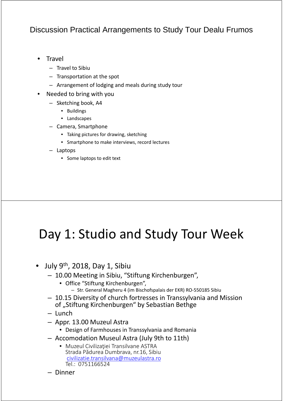#### Discussion Practical Arrangements to Study Tour Dealu Frumos

- Travel
	- Travel to Sibiu
	- Transportation at the spot
	- Arrangement of lodging and meals during study tour
- Needed to bring with you
	- Sketching book, A4
		- Buildings
		- Landscapes
	- Camera, Smartphone
		- Taking pictures for drawing, sketching
		- Smartphone to make interviews, record lectures
	- Laptops
		- Some laptops to edit text

## Day 1: Studio and Study Tour Week

- July  $9<sup>th</sup>$ , 2018, Day 1, Sibiu
	- 10.00 Meeting in Sibiu, "Stiftung Kirchenburgen",
		- Office "Stiftung Kirchenburgen",
			- Str. General Magheru 4 (im Bischofspalais der EKR) RO‐550185 Sibiu
	- 10.15 Diversity of church fortresses in Transsylvania and Mission of "Stiftung Kirchenburgen" by Sebastian Bethge
	- Lunch
	- Appr. 13.00 Muzeul Astra
		- Design of Farmhouses in Transsylvania and Romania
	- Accomodation Museul Astra (July 9th to 11th)
		- Muzeul Civilizației Transilvane ASTRA Strada Pădurea Dumbrava, nr.16, Sibiu civilizatie.transilvana@muzeulastra.ro Tel: 0751166524
	- Dinner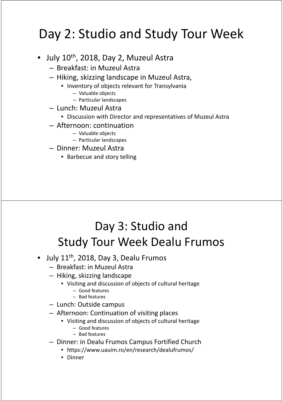## Day 2: Studio and Study Tour Week

- July 10<sup>th</sup>, 2018, Day 2, Muzeul Astra
	- Breakfast: in Muzeul Astra
	- Hiking, skizzing landscape in Muzeul Astra,
		- Inventory of objects relevant for Transylvania
			- Valuable objects
			- Particular landscapes
	- Lunch: Muzeul Astra
		- Discussion with Director and representatives of Muzeul Astra
	- Afternoon: continuation
		- Valuable objects
		- Particular landscapes
	- Dinner: Muzeul Astra
		- Barbecue and story telling

#### Day 3: Studio and Study Tour Week Dealu Frumos

- $\bullet$  July 11<sup>th</sup>, 2018, Day 3, Dealu Frumos
	- Breakfast: in Muzeul Astra
	- Hiking, skizzing landscape
		- Visiting and discussion of objects of cultural heritage
			- Good features
			- Bad features
	- Lunch: Outside campus
	- Afternoon: Continuation of visiting places
		- Visiting and discussion of objects of cultural heritage
			- Good features
			- Bad features
	- Dinner: in Dealu Frumos Campus Fortified Church
		- https://www.uauim.ro/en/research/dealufrumos/
		- Dinner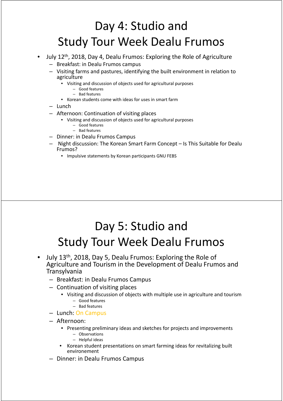## Day 4: Studio and Study Tour Week Dealu Frumos

- July 12<sup>th</sup>, 2018, Day 4, Dealu Frumos: Exploring the Role of Agriculture – Breakfast: in Dealu Frumos campus
	- Visiting farms and pastures, identifying the built environment in relation to agriculture
		- Visiting and discussion of objects used for agricultural purposes – Good features
			- Bad features
		- Korean students come with ideas for uses in smart farm
	- Lunch
	- Afternoon: Continuation of visiting places
		- Visiting and discussion of objects used for agricultural purposes
			- Good features
			- Bad features
	- Dinner: in Dealu Frumos Campus
	- Night discussion: The Korean Smart Farm Concept Is This Suitable for Dealu Frumos?
		- Impulsive statements by Korean participants GNU FEBS

#### Day 5: Studio and Study Tour Week Dealu Frumos

- July 13<sup>th</sup>, 2018, Day 5, Dealu Frumos: Exploring the Role of Agriculture and Tourism in the Development of Dealu Frumos and **Transylvania** 
	- $-$  Breakfast: in Dealu Frumos Campus
	- Continuation of visiting places
		- Visiting and discussion of objects with multiple use in agriculture and tourism – Good features
			- Bad features
	- Lunch: On Campus
	- Afternoon:
		- Presenting preliminary ideas and sketches for projects and improvements
			- Observations
			- Helpful ideas
		- Korean student presentations on smart farming ideas for revitalizing built environement
	- Dinner: in Dealu Frumos Campus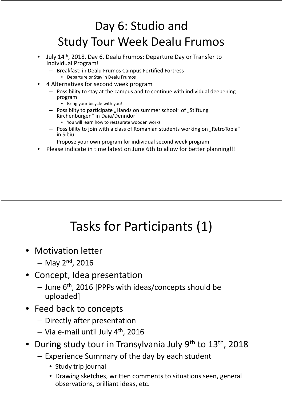## Day 6: Studio and Study Tour Week Dealu Frumos

- July 14<sup>th</sup>, 2018, Day 6, Dealu Frumos: Departure Day or Transfer to Individual Program!
	- Breakfast: in Dealu Frumos Campus Fortified Fortress
		- Departure or Stay in Dealu Frumos
- 4 Alternatives for second week program
	- Possibility to stay at the campus and to continue with individual deepening program
		- Bring your bicycle with you!
	- Possiblity to participate "Hands on summer school" of "Stiftung Kirchenburgen" in Daia/Denndorf
		- You will learn how to restaurate wooden works
	- $-$  Possibility to join with a class of Romanian students working on "RetroTopia" in Sibiu
	- Propose your own program for individual second week program
- Please indicate in time latest on June 6th to allow for better planning!!!

# Tasks for Participants (1)

- Motivation letter
	- $-$  May 2<sup>nd</sup>, 2016
- Concept, Idea presentation
	- $-$  June 6<sup>th</sup>, 2016 [PPPs with ideas/concepts should be uploaded]
- Feed back to concepts
	- Directly after presentation
	- Via e‐mail until July 4th, 2016
- During study tour in Transylvania July  $9<sup>th</sup>$  to  $13<sup>th</sup>$ , 2018
	- Experience Summary of the day by each student
		- Study trip journal
		- Drawing sketches, written comments to situations seen, general observations, brilliant ideas, etc.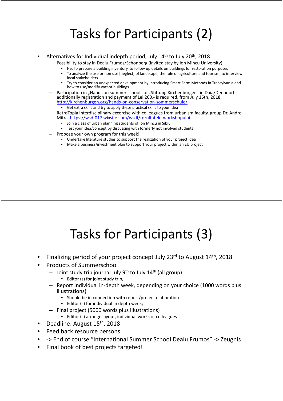## Tasks for Participants (2)

#### Alternatives for Individual indepth period, July  $14<sup>th</sup>$  to July  $20<sup>th</sup>$ , 2018

- Possibility to stay in Dealu Frumos/Schönberg (invited stay by Ion Mincu University)
	- F.e. To prepare a building inventory, to follow up details on buildings for restoration purposes
	- To analyze the use or non use [neglect] of landscape, the role of agriculture and tourism, to interview local stakeholders
	- Try to consider an unexpected development by introducing Smart Farm Methods in Transylvania and how to use/modify vacant buildings
- Participation in "Hands on summer school" of "Stiftung Kirchenburgen" in Daia/Denndorf, additionally registration and payment of Lei 200.‐ is required, from July 16th, 2018, http://kirchenburgen.org/hands-on-conservation-sommerschule/
	- Get extra skills and try to apply these practical skills to your idea
- RetroTopia Interdisciplinary excercise with colleagues from urbanism faculty, group Dr. Andrei Mitra, https://wsdf017.wixsite.com/wsdf/rezultatele‐workshopului
	- Join a class of urban planning students of Ion Mincu in Sibiu
	- Test your idea/concept by discussing with formerly not involved students
- Propose your own program for this week!
	- Undertake literature studies to support the realization of your project idea
	- Make a business/investment plan to support your project within an EU project

## Tasks for Participants (3)

- Finalizing period of your project concept July  $23<sup>rd</sup>$  to August  $14<sup>th</sup>$ , 2018
- Products of Summerschool
	- $-$  Joint study trip journal July 9<sup>th</sup> to July 14<sup>th</sup> (all group)
		- Editor (s) for joint study trip,
	- Report Individual in‐depth week, depending on your choice (1000 words plus illustrations)
		- Should be in connection with report/project elaboration
		- Editor (s) for individual in depth week;
	- Final project (5000 words plus illustrations)
		- Editor (s) arrange layout, individual works of colleagues
- Deadline: August 15th, 2018
- Feed back resource persons
- ‐> End of course "International Summer School Dealu Frumos" ‐> Zeugnis
- Final book of best projects targeted!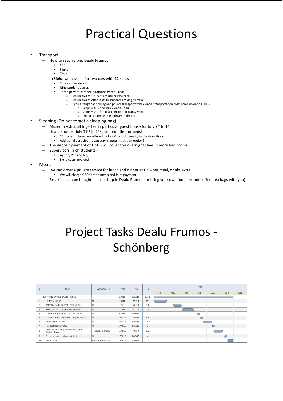## Practical Questions

#### **Transport**

- How to reach Sibiu, Dealu Frumos
	- Car
	- Flight
	- Train
	- In Sibiu: we have so far two cars with 12 seats
		- Three supervisors
		- Nine student places
		- Three private cars are additionally required!
			- Possibilities for students to use private cars?
			- Possibilities to offer seats to students arriving by train?
				- If you arrange car pooling and private transport from Vienna, transportation costs come down to € 100.‐
					- » Appr. € 40.- one way Vienna Sibiu<br>» Appr. € 20.- for local transport in Tr
					- » Appr. € 20.‐ for local transport in Transylvania » You pay directly to the driver of the car
- Sleeping (Do not forget a sleeping bag)
	- Museum Astra, all together in particular guest house for July 9<sup>th</sup> to  $11^{\text{th}}$ 
		- Dealu Frumos, July 11<sup>th</sup> to 14<sup>th</sup>, limited offer for beds!
			- 15 student places are offered by Ion Mincu University in the dormitory
			- Additional participants can stay in tents! Is this an option?
	- The deposit payment of € 50.- will cover five overnight stays in more bed rooms
		- Supervisors, (rich students)
			- Agnita, Pension Ice,
			- Extra costs involved
- **Meals** 
	- We can order a private service for lunch and dinner at  $\epsilon$  5.- per meal, drinks extra • We will charge € 50 for ten meals and joint payment
	- Breakfast can be bought in little shop in Dealu Frumos (or bring your own food, instant coffee, tea bags with you)

## Project Tasks Dealu Frumos ‐ Schönberg

| #              | Task                                                      | Assigned To             | Start   | End     | Dur            | 2018 |     |     |     |     |     |     |
|----------------|-----------------------------------------------------------|-------------------------|---------|---------|----------------|------|-----|-----|-----|-----|-----|-----|
|                |                                                           |                         |         |         |                | Apr  | May | Jun | Jul | Aug | Sep | Oct |
|                | Kleines Entwerfen Dealu Frumos                            |                         | 3/4/18  | 30/9/18 | 128.5          |      |     |     |     |     |     |     |
| $\overline{1}$ | Letter of Intend                                          | All                     | 3/4/18  | 2/5/18  | 21             |      |     |     |     |     |     |     |
| $\overline{2}$ | After Kick off Concept Formulation                        | All                     | 16/5/18 | 5/6/18  | 14             |      |     |     |     |     |     |     |
| 3              | Feed Back to Concept Formulation                          | All                     | 6/6/18  | 3/7/18  | 19             |      |     |     |     |     |     |     |
| $\overline{4}$ | Dealu Frumos Study Tour and Studio                        | All                     | 9/7/18  | 14/7/18 | 5              |      |     |     | ◠   |     |     |     |
| 5              | Dealu Frumos Individual Program Week                      | All                     | 16/7/18 | 21/7/18 | 5.5            |      |     |     | C   |     |     |     |
| 6              | <b>Finalizing Concept</b>                                 | All                     | 23/7/18 | 13/8/18 | 15.5           |      |     |     |     |     |     |     |
| $\overline{7}$ | Product Delivery Day                                      | All                     | 14/8/18 | 14/8/18 | -4             |      |     |     |     |     |     |     |
| 8              | Feed Back to projects by Requested<br><b>Stakeholders</b> | <b>Resource Persons</b> | 17/8/18 | 7/9/18  | 16             |      |     |     |     |     |     |     |
| 9              | Ready reports and project designs                         | All                     | 10/9/18 | 14/9/18 | $\overline{4}$ |      |     |     |     |     | ⊂   |     |
| 10             | Book project!                                             | <b>Resource Persons</b> | 17/9/18 | 30/9/18 | 10             |      |     |     |     |     |     |     |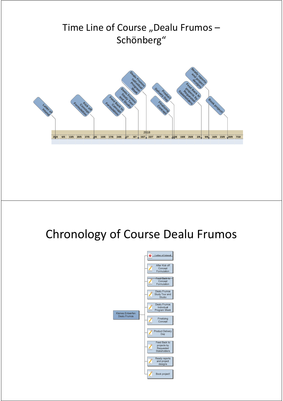

## Chronology of Course Dealu Frumos